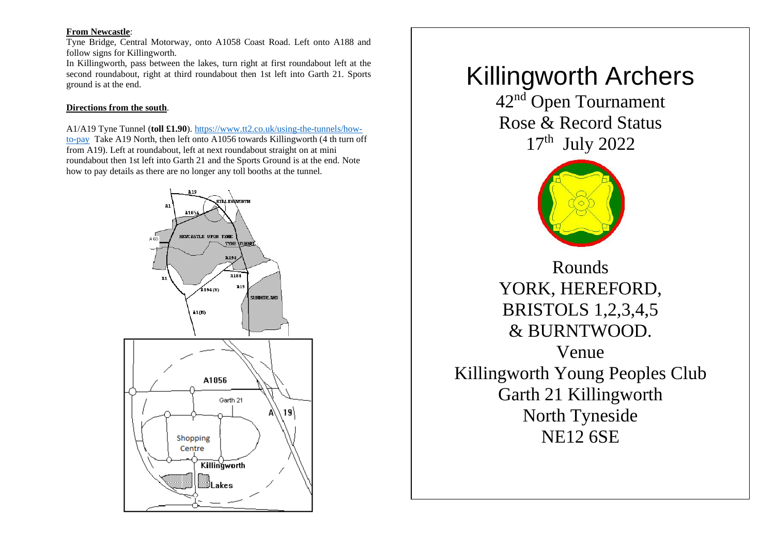# **From Newcastle**:

Tyne Bridge, Central Motorway, onto A1058 Coast Road. Left onto A188 and follow signs for Killingworth.

In Killingworth, pass between the lakes, turn right at first roundabout left at the second roundabout, right at third roundabout then 1st left into Garth 21. Sports ground is at the end.

#### **Directions from the south**.

A1/A19 Tyne Tunnel (**toll £1.90**). [https://www.tt2.co.uk/using-the-tunnels/how](https://www.tt2.co.uk/using-the-tunnels/how-to-pay)[to-pay](https://www.tt2.co.uk/using-the-tunnels/how-to-pay) Take A19 North, then left onto A1056 towards Killingworth (4 th turn off from A19). Left at roundabout, left at next roundabout straight on at mini roundabout then 1st left into Garth 21 and the Sports Ground is at the end. Note how to pay details as there are no longer any toll booths at the tunnel.



# Killingworth Archers

42<sup>nd</sup> Open Tournament Rose & Record Status 17<sup>th</sup> July 2022



Rounds YORK, HEREFORD, BRISTOLS 1,2,3,4,5 & BURNTWOOD. Venue Killingworth Young Peoples Club Garth 21 Killingworth North Tyneside NE12 6SE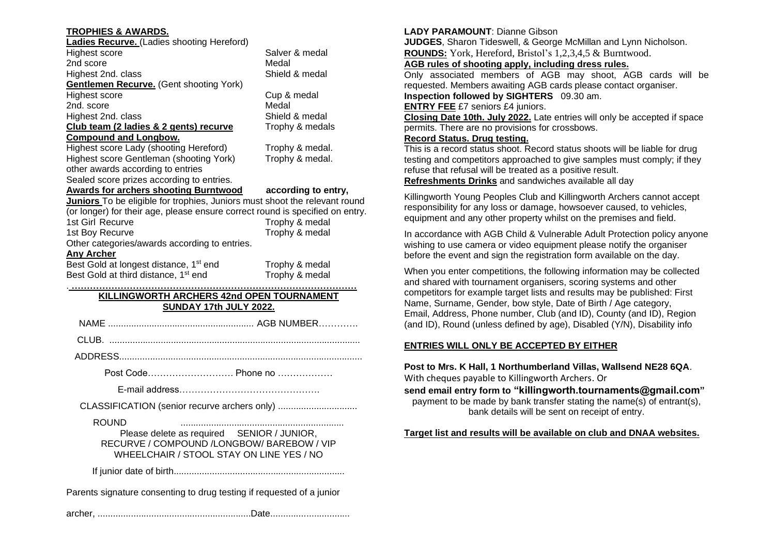# **TROPHIES & AWARDS.**

| Ladies Recurve. (Ladies shooting Hereford)     |                 |
|------------------------------------------------|-----------------|
| Highest score                                  | Salver & medal  |
| 2nd score                                      | Medal           |
| Highest 2nd. class                             | Shield & medal  |
| <b>Gentlemen Recurve.</b> (Gent shooting York) |                 |
| Highest score                                  | Cup & medal     |
| 2nd. score                                     | Medal           |
| Highest 2nd. class                             | Shield & medal  |
| Club team (2 ladies & 2 gents) recurve         | Trophy & medals |
| <b>Compound and Longbow.</b>                   |                 |
| Highest score Lady (shooting Hereford)         | Trophy & medal. |
| Highest score Gentleman (shooting York)        | Trophy & medal. |

other awards according to entries Sealed score prizes according to entries.

phy & medal.

# **Awards for archers shooting Burntwood according to entry,**

**Juniors** To be eligible for trophies, Juniors must shoot the relevant round (or longer) for their age, please ensure correct round is specified on entry.

| (a. .aya.) .o. o a.ya, prodoo aodo coouoo op.coou |                |
|---------------------------------------------------|----------------|
| 1st Girl Recurve                                  | Trophy & medal |
| 1st Boy Recurve                                   | Trophy & medal |
| Other categories/awards according to entries.     |                |
| .                                                 |                |

# **Any Archer**

Best Gold at longest distance, 1<sup>st</sup> end Trophy & medal<br>Best Gold at third distance, 1<sup>st</sup> end Trophy & medal Best Gold at third distance, 1<sup>st</sup> end

#### . **………………………………………………………………………………… KILLINGWORTH ARCHERS 42nd OPEN TOURNAMENT SUNDAY 17th JULY 2022.**

NAME ......................................................... AGB NUMBER………….

CLUB. ..................................................................................................

ADDRESS...............................................................................................

Post Code………………………. Phone no ………………

E-mail address……………………………………….

CLASSIFICATION (senior recurve archers only) ...................................

ROUND ................................................................

Please delete as required SENIOR / JUNIOR, RECURVE / COMPOUND /LONGBOW/ BAREBOW / VIP WHEELCHAIR / STOOL STAY ON LINE YES / NO

If junior date of birth...................................................................

Parents signature consenting to drug testing if requested of a junior

archer, ............................................................Date...............................

# **LADY PARAMOUNT**: Dianne Gibson

**JUDGES**, Sharon Tideswell, & George McMillan and Lynn Nicholson. **ROUNDS:** York, Hereford, Bristol's 1,2,3,4,5 & Burntwood.

**AGB rules of shooting apply, including dress rules.**

Only associated members of AGB may shoot, AGB cards will be requested. Members awaiting AGB cards please contact organiser. **Inspection followed by SIGHTERS** 09.30 am.

**ENTRY FEE** £7 seniors £4 juniors.

**Closing Date 10th. July 2022.** Late entries will only be accepted if space permits. There are no provisions for crossbows.

# **Record Status. Drug testing.**

This is a record status shoot. Record status shoots will be liable for drug testing and competitors approached to give samples must comply; if they refuse that refusal will be treated as a positive result.

**Refreshments Drinks** and sandwiches available all day

Killingworth Young Peoples Club and Killingworth Archers cannot accept responsibility for any loss or damage, howsoever caused, to vehicles, equipment and any other property whilst on the premises and field.

In accordance with AGB Child & Vulnerable Adult Protection policy anyone wishing to use camera or video equipment please notify the organiser before the event and sign the registration form available on the day.

When you enter competitions, the following information may be collected and shared with tournament organisers, scoring systems and other competitors for example target lists and results may be published: First Name, Surname, Gender, bow style, Date of Birth / Age category, Email, Address, Phone number, Club (and ID), County (and ID), Region (and ID), Round (unless defined by age), Disabled (Y/N), Disability info

# **ENTRIES WILL ONLY BE ACCEPTED BY EITHER**

**Post to Mrs. K Hall, 1 Northumberland Villas, Wallsend NE28 6QA**.

With cheques payable to Killingworth Archers. Or

**send email entry form to "killingworth.tournaments@gmail.com"**

payment to be made by bank transfer stating the name(s) of entrant(s), bank details will be sent on receipt of entry.

# **Target list and results will be available on club and DNAA websites.**